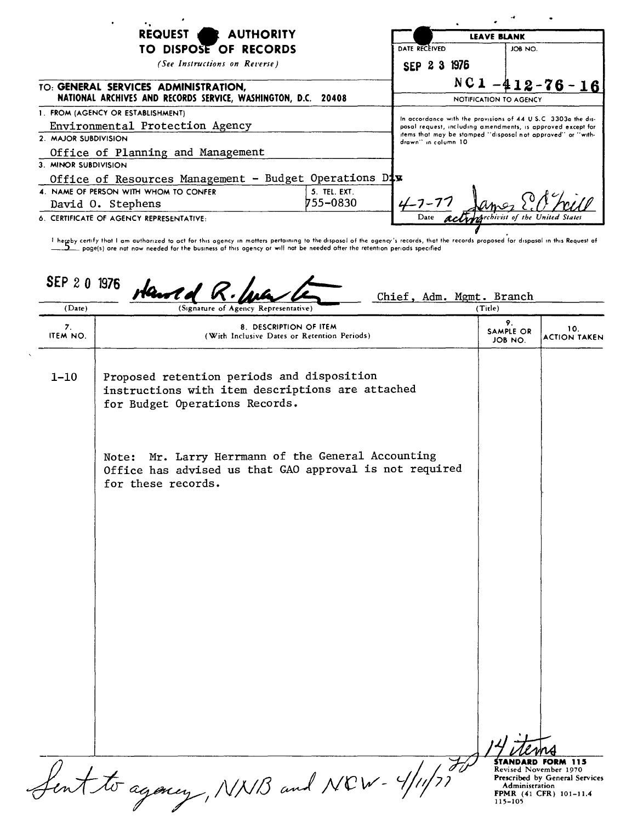| REQUEST AUTHORITY                                                                                     |              | <b>LEAVE BLANK</b>                                                                                                                                                                                                 |                                   |
|-------------------------------------------------------------------------------------------------------|--------------|--------------------------------------------------------------------------------------------------------------------------------------------------------------------------------------------------------------------|-----------------------------------|
| TO DISPOSE OF RECORDS                                                                                 |              | DATE RECEIVED                                                                                                                                                                                                      | JOB NO.                           |
| (See Instructions on Reverse)                                                                         |              | SEP 2 3 1976                                                                                                                                                                                                       |                                   |
| TO: GENERAL SERVICES ADMINISTRATION,<br>NATIONAL ARCHIVES AND RECORDS SERVICE, WASHINGTON, D.C. 20408 |              |                                                                                                                                                                                                                    | $NC1 - 412 - 76 - 16$             |
|                                                                                                       |              | NOTIFICATION TO AGENCY                                                                                                                                                                                             |                                   |
| 1. FROM (AGENCY OR ESTABLISHMENT)                                                                     |              |                                                                                                                                                                                                                    |                                   |
| Environmental Protection Agency                                                                       |              | In accordance with the provisions of 44 U.S.C. 3303a the dis-<br>posal request, including amendments, is approved except for<br>items that may be stamped "disposal not approved" or "with-<br>drawn" in column 10 |                                   |
| 2. MAJOR SUBDIVISION                                                                                  |              |                                                                                                                                                                                                                    |                                   |
| Office of Planning and Management                                                                     |              |                                                                                                                                                                                                                    |                                   |
| 3. MINOR SUBDIVISION                                                                                  |              |                                                                                                                                                                                                                    |                                   |
| Office of Resources Management - Budget Operations Dix                                                |              |                                                                                                                                                                                                                    |                                   |
| 4. NAME OF PERSON WITH WHOM TO CONFER                                                                 | 5. TEL. EXT. |                                                                                                                                                                                                                    |                                   |
| David O. Stephens                                                                                     | 755–0830     |                                                                                                                                                                                                                    |                                   |
| 6. CERTIFICATE OF AGENCY REPRESENTATIVE:                                                              |              |                                                                                                                                                                                                                    | Handrehivist of the United States |
|                                                                                                       |              |                                                                                                                                                                                                                    |                                   |

t hereby certify that I am authorized to act for this ogency in motters pertaining to the disposol of the ogency's records, that the records proposed for dispasal in this Request at any method is performed to the business

| (Date)         | SEP 20 1976 Harred R.<br>(Signature of Agency Representative)                                                                          | (Title)                    |                                                   |
|----------------|----------------------------------------------------------------------------------------------------------------------------------------|----------------------------|---------------------------------------------------|
| 7.<br>ITEM NO. | 8. DESCRIPTION OF ITEM<br>(With Inclusive Dates or Retention Periods)                                                                  | 9.<br>SAMPLE OR<br>JOB NO. | 10.<br><b>ACTION TAKEN</b>                        |
| $1 - 10$       | Proposed retention periods and disposition<br>instructions with item descriptions are attached<br>for Budget Operations Records.       |                            |                                                   |
|                | Mr. Larry Herrmann of the General Accounting<br>Note:<br>Office has advised us that GAO approval is not required<br>for these records. |                            |                                                   |
|                |                                                                                                                                        |                            |                                                   |
|                |                                                                                                                                        |                            |                                                   |
|                | fent to again, NNB and NCW- 4/11/77                                                                                                    |                            | <b>STANDARD FORM 115</b><br>Revised November 1970 |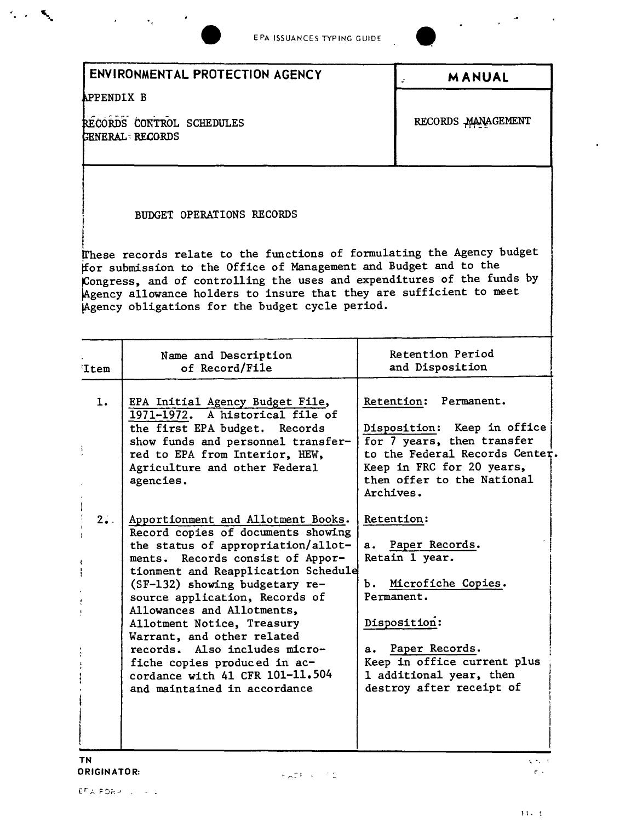

 $\alpha_{\rm{max}} = \alpha_{\rm{max}} = 0.001$ 

 $\mathcal{C}_{\mathbf{c}}(x)$  .  $\mathcal{C}_{\mathbf{c}}$ 



 $\ddot{\phantom{a}}$ 

|                                                       | ENVIRONMENTAL PROTECTION AGENCY                                                                                                                                                                                                                                                                                                                                                                                                                                                             |                              | <b>MANUAL</b>                                                                                                                                                                                |
|-------------------------------------------------------|---------------------------------------------------------------------------------------------------------------------------------------------------------------------------------------------------------------------------------------------------------------------------------------------------------------------------------------------------------------------------------------------------------------------------------------------------------------------------------------------|------------------------------|----------------------------------------------------------------------------------------------------------------------------------------------------------------------------------------------|
| APPENDIX B                                            |                                                                                                                                                                                                                                                                                                                                                                                                                                                                                             |                              |                                                                                                                                                                                              |
| RECORDS CONTROL SCHEDULES<br><b>GENERAL - RECORDS</b> |                                                                                                                                                                                                                                                                                                                                                                                                                                                                                             |                              | RECORDS MANAGEMENT                                                                                                                                                                           |
|                                                       | <b>BUDGET OPERATIONS RECORDS</b><br>These records relate to the functions of formulating the Agency budget<br>for submission to the Office of Management and Budget and to the<br>Congress, and of controlling the uses and expenditures of the funds by<br>Agency allowance holders to insure that they are sufficient to meet<br>Agency obligations for the budget cycle period.                                                                                                          |                              |                                                                                                                                                                                              |
| 'Item                                                 | Name and Description<br>of Record/File                                                                                                                                                                                                                                                                                                                                                                                                                                                      |                              | Retention Period<br>and Disposition                                                                                                                                                          |
| 1.<br>ì.                                              | EPA Initial Agency Budget File,<br>1971-1972. A historical file of<br>the first EPA budget. Records<br>show funds and personnel transfer-<br>red to EPA from Interior, HEW,<br>Agriculture and other Federal<br>agencies.                                                                                                                                                                                                                                                                   | Archives.                    | Retention: Permanent.<br>Disposition: Keep in office<br>for 7 years, then transfer<br>to the Federal Records Center.<br>Keep in FRC for 20 years,<br>then offer to the National              |
| 2.4.                                                  | Apportionment and Allotment Books.<br>Record copies of documents showing<br>the status of appropriation/allot-<br>ments. Records consist of Appor-<br>tionment and Reapplication Schedule<br>(SF-132) showing budgetary re-<br>source application, Records of<br>Allowances and Allotments,<br>Allotment Notice, Treasury<br>Warrant, and other related<br>records. Also includes micro-<br>fiche copies produced in ac-<br>cordance with 41 CFR 101-11.504<br>and maintained in accordance | Retention:<br>a.<br>Ъ.<br>а. | Paper Records.<br>Retain 1 year.<br>Microfiche Copies.<br>Permanent.<br>Disposition:<br>Paper Records.<br>Keep in office current plus<br>1 additional year, then<br>destroy after receipt of |

 $\sqrt{\langle \mathbf{r}_k \rangle / \kappa}$  $\mathcal{C}(\mathcal{A})$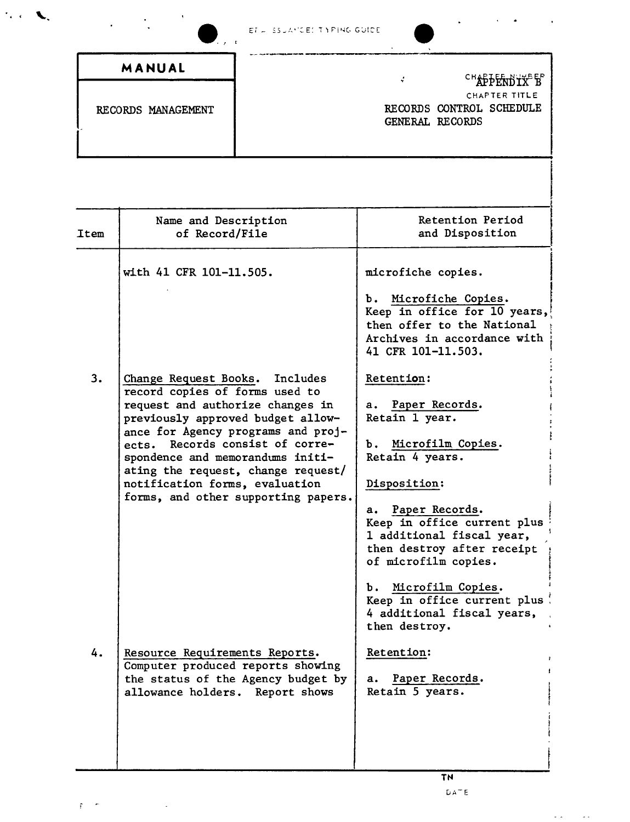## ET = SSUAMCEL TIMPING GUIDE

 $\ddot{\phantom{a}}$ 

 $\bar{a}$  $\mathcal{A}$   $\ddot{\phantom{0}}$ 

 $\frac{1}{2}$  .

 $\frac{1}{2}$ 

 $\mathcal{L}^{\text{max}}_{\text{max}}$  and  $\mathcal{L}^{\text{max}}_{\text{max}}$ 

 $\mathfrak{g}=\mathfrak{m}$ 

 $\mathcal{L}_{\text{c}} \subset \mathbb{R}^2$ 

| ET A COURT CEL INTERNO OUTLE<br>$\cdot$ $\cdot$ |                 |                                           |
|-------------------------------------------------|-----------------|-------------------------------------------|
| MANUAL                                          | ÷               | CHAPPENDIX <sup>B</sup> B                 |
| RECORDS MANAGEMENT                              | GENERAL RECORDS | CHAPTER TITLE<br>RECORDS CONTROL SCHEDULE |
|                                                 |                 |                                           |

| Item | Name and Description<br>of Record/File                                                                                                                                                                                                                                                                                                                                   | Retention Period<br>and Disposition                                                                                                                                                                                                              |
|------|--------------------------------------------------------------------------------------------------------------------------------------------------------------------------------------------------------------------------------------------------------------------------------------------------------------------------------------------------------------------------|--------------------------------------------------------------------------------------------------------------------------------------------------------------------------------------------------------------------------------------------------|
|      | with 41 CFR 101-11.505.                                                                                                                                                                                                                                                                                                                                                  | microfiche copies.<br>b. Microfiche Copies.<br>Keep in office for 10 years,<br>then offer to the National<br>Archives in accordance with<br>41 CFR 101-11.503.                                                                                   |
| 3.   | Change Request Books.<br>Includes<br>record copies of forms used to<br>request and authorize changes in<br>previously approved budget allow-<br>ance for Agency programs and proj-<br>ects. Records consist of corre-<br>spondence and memorandums initi-<br>ating the request, change request/<br>notification forms, evaluation<br>forms, and other supporting papers. | Retention:<br>a. Paper Records.<br>Retain 1 year.<br>b. Microfilm Copies.<br>Retain 4 years.<br>Disposition:                                                                                                                                     |
|      |                                                                                                                                                                                                                                                                                                                                                                          | Paper Records.<br>а.<br>Keep in office current plus<br>1 additional fiscal year,<br>then destroy after receipt<br>of microfilm copies.<br>Microfilm Copies.<br>ъ.<br>Keep in office current plus!<br>4 additional fiscal years,<br>then destroy. |
| 4.   | Resource Requirements Reports.<br>Computer produced reports showing<br>the status of the Agency budget by<br>allowance holders. Report shows                                                                                                                                                                                                                             | Retention:<br>Paper Records.<br>а. –<br>Retain 5 years.                                                                                                                                                                                          |

 $\mathcal{L}(\mathbf{x}) = \mathcal{L}(\mathbf{x}, \mathbf{y})$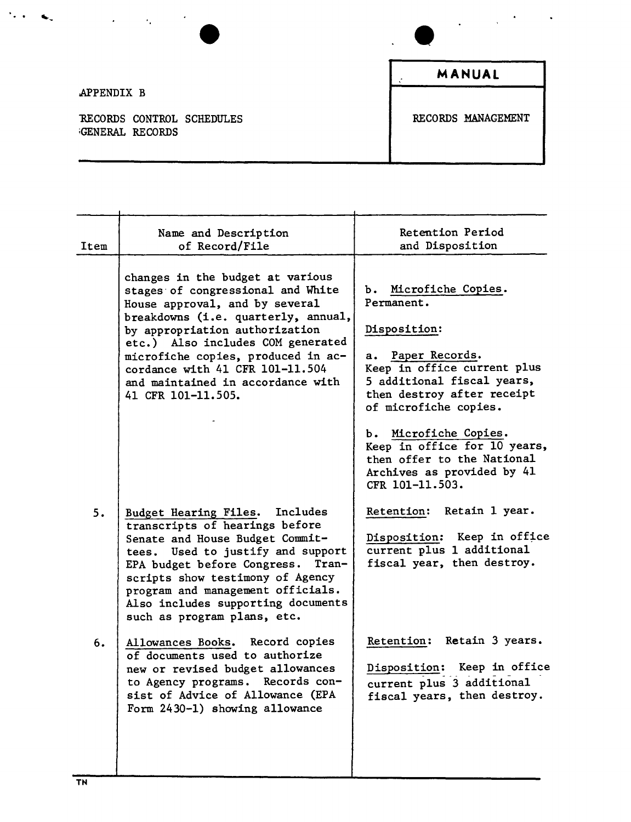

.APPENDIX B

RECORDS CONTROL SCHEDULES **RECORDS MANAGEMENT** iGENERAL RECORDS

**MANUAL**

Name and Description Item of Record/File changes in the budget at various stages· of congressional and White House approval, and by several breakdowns (i.e. quarterly, annual, by appropriation authorization etc.) Also includes COM generated microfiche copies, produced in accordance with 41 CFR 101-11.504 and maintained in accordance with 41 CFR 101-11.505. 5. Budget Hearing Files. Includes transcripts of hearings before Senate and House Budget Committees. Used to justify and support EPA budget before Congress. Transcripts show testimony of Agency program and management officials. Also includes supporting documents such as program plans, etc. 6. Allowances Books. Record copies of documents used to authorize new or revised budget allowances to Agency programs. Records consist of Advice of Allowance (EPA Form 2430-1) showing allowance Retention Period and Disposition b. Microfiche Copies. Permanent. Disposition: a. Paper Records. Keep in office current plus 5 additional fiscal years, then destroy after receipt of microfiche copies. b. Microfiche Copies. Keep in office for 10 years, then offer to the National Archives as provided by 41 CFR 101-11.503. Retention: Retain 1 year. Disposition: Keep in office current plus 1 additional fiscal year, then destroy. Retention: Retain 3 years. Disposition: Keep in office current plus 3 additional fiscal years, then destroy.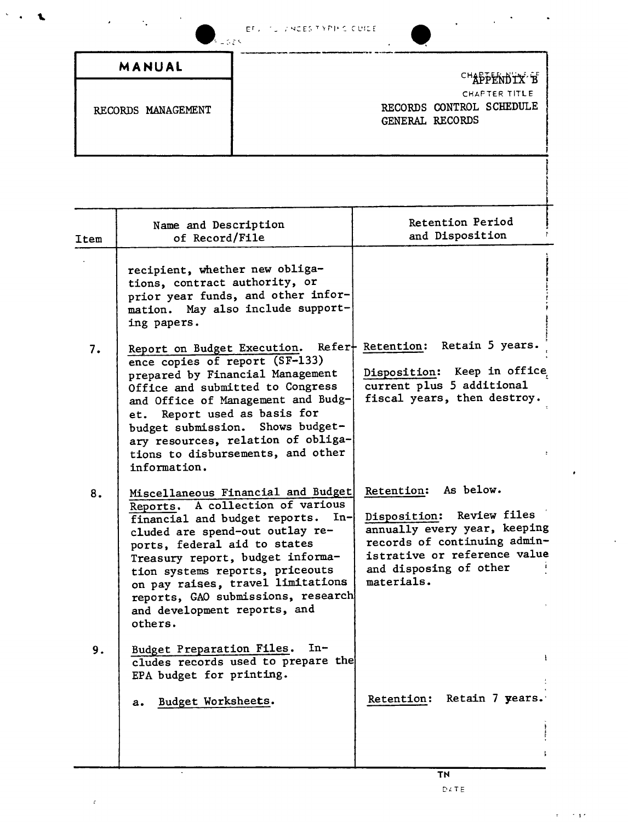| <b>EFULLY NOES TAPING CUIDE</b> |  |  |  |
|---------------------------------|--|--|--|
|---------------------------------|--|--|--|

| ٠.<br>٠<br>たしてさく   | <b>EFULLY LINCES TIMPING CUILE</b>                           |
|--------------------|--------------------------------------------------------------|
| MANUAL             | CHAPPENDIX B                                                 |
| RECORDS MANAGEMENT | CHAPTER TITLE<br>RECORDS CONTROL SCHEDULE<br>GENERAL RECORDS |
|                    |                                                              |

| Item | Name and Description<br>of Record/File                                                                                                                                                                                                                                                                                                                                              | Retention Period<br>and Disposition                                                                                                                                                          |
|------|-------------------------------------------------------------------------------------------------------------------------------------------------------------------------------------------------------------------------------------------------------------------------------------------------------------------------------------------------------------------------------------|----------------------------------------------------------------------------------------------------------------------------------------------------------------------------------------------|
|      | recipient, whether new obliga-<br>tions, contract authority, or<br>prior year funds, and other infor-<br>mation. May also include support-<br>ing papers.                                                                                                                                                                                                                           |                                                                                                                                                                                              |
| 7.   | Report on Budget Execution. Refer   Retention: Retain 5 years.<br>ence copies of report (SF-133)<br>prepared by Financial Management<br>Office and submitted to Congress<br>and Office of Management and Budg-<br>Report used as basis for<br>et.<br>budget submission. Shows budget-<br>ary resources, relation of obliga-<br>tions to disbursements, and other<br>information.    | Disposition: Keep in office<br>current plus 5 additional<br>fiscal years, then destroy.                                                                                                      |
| 8.   | Miscellaneous Financial and Budget<br>A collection of various<br>Reports.<br>financial and budget reports.<br>$In-$<br>cluded are spend-out outlay re-<br>ports, federal aid to states<br>Treasury report, budget informa-<br>tion systems reports, priceouts<br>on pay raises, travel limitations<br>reports, GAO submissions, research<br>and development reports, and<br>others. | Retention: As below.<br>Review files<br>Disposition:<br>annually every year, keeping<br>records of continuing admin-<br>istrative or reference value<br>and disposing of other<br>materials. |
| 9.   | $In-$<br>Budget Preparation Files.<br>cludes records used to prepare the<br>EPA budget for printing.<br>Budget Worksheets.<br>a.                                                                                                                                                                                                                                                    | ŧ<br>Retain 7 years.<br>Retention:                                                                                                                                                           |

 $\mathbf{r}$ 

ř

i<br>I